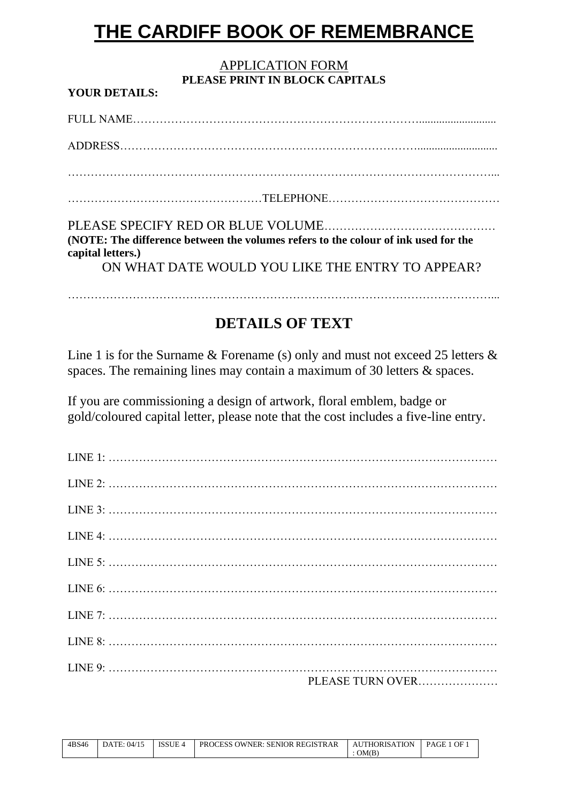# **THE CARDIFF BOOK OF REMEMBRANCE**

#### APPLICATION FORM **PLEASE PRINT IN BLOCK CAPITALS**

FULL NAME…………………………………………………………………........................... ADDRESS……………………………………………………………………............................ …………………………………………………………………………………………………... ……………………………………………TELEPHONE……………………………………… PLEASE SPECIFY RED OR BLUE VOLUME……………………………………… **(NOTE: The difference between the volumes refers to the colour of ink used for the capital letters.)** ON WHAT DATE WOULD YOU LIKE THE ENTRY TO APPEAR?

## **DETAILS OF TEXT**

…………………………………………………………………………………………………...

Line 1 is for the Surname & Forename (s) only and must not exceed 25 letters  $\&$ spaces. The remaining lines may contain a maximum of 30 letters & spaces.

If you are commissioning a design of artwork, floral emblem, badge or gold/coloured capital letter, please note that the cost includes a five-line entry.

| PLEASE TURN OVER |
|------------------|

| 4BS46 | DATE: 04/15 | <b>ISSUE 4</b> | <b>PROCESS OWNER: SENIOR REGISTRAR</b> | AUTHORISATION | OF<br><b>PAGE</b> |
|-------|-------------|----------------|----------------------------------------|---------------|-------------------|
|       |             |                |                                        | OM(B)         |                   |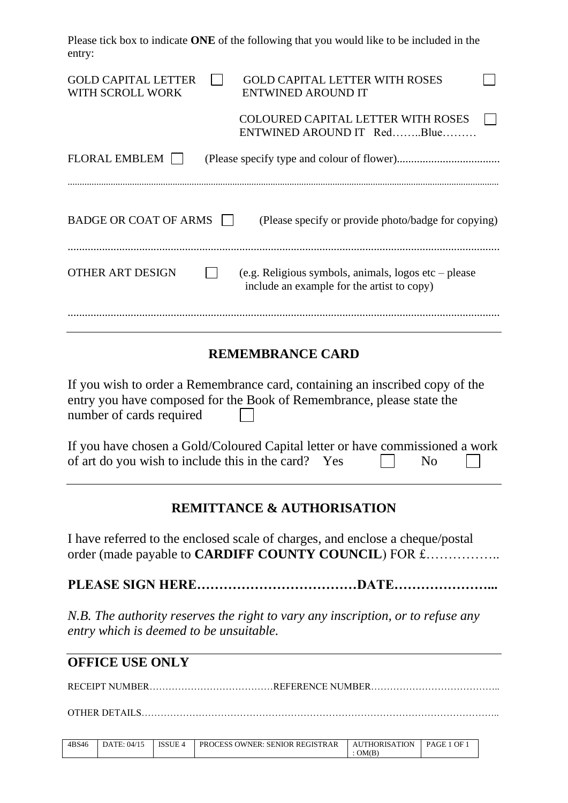Please tick box to indicate **ONE** of the following that you would like to be included in the entry:

| <b>GOLD CAPITAL LETTER</b><br><b>GOLD CAPITAL LETTER WITH ROSES</b><br>WITH SCROLL WORK<br><b>ENTWINED AROUND IT</b>                                                              |  |  |  |  |
|-----------------------------------------------------------------------------------------------------------------------------------------------------------------------------------|--|--|--|--|
| <b>COLOURED CAPITAL LETTER WITH ROSES</b><br>ENTWINED AROUND IT RedBlue                                                                                                           |  |  |  |  |
| <b>FLORAL EMBLEM</b>                                                                                                                                                              |  |  |  |  |
| <b>BADGE OR COAT OF ARMS</b><br>(Please specify or provide photo/badge for copying)                                                                                               |  |  |  |  |
| <b>OTHER ART DESIGN</b><br>(e.g. Religious symbols, animals, logos etc $-$ please<br>include an example for the artist to copy)                                                   |  |  |  |  |
| <b>REMEMBRANCE CARD</b>                                                                                                                                                           |  |  |  |  |
| If you wish to order a Remembrance card, containing an inscribed copy of the<br>entry you have composed for the Book of Remembrance, please state the<br>number of cards required |  |  |  |  |
| If you have chosen a Gold/Coloured Capital letter or have commissioned a work<br>of art do you wish to include this in the card? Yes<br>N <sub>0</sub>                            |  |  |  |  |
|                                                                                                                                                                                   |  |  |  |  |

#### **REMITTANCE & AUTHORISATION**

I have referred to the enclosed scale of charges, and enclose a cheque/postal order (made payable to **CARDIFF COUNTY COUNCIL**) FOR £……………

**PLEASE SIGN HERE………………………………DATE…………………...**

*N.B. The authority reserves the right to vary any inscription, or to refuse any entry which is deemed to be unsuitable.*

#### **OFFICE USE ONLY**

RECEIPT NUMBER…………………………………REFERENCE NUMBER…………………………………..

OTHER DETAILS…………………………………………………………………………………………………..

| 4BS46 | .04/15<br>DATE: | <b>ISSUE 4</b> | <b>PROCESS OWNER: SENIOR REGISTRAR</b> | <b>AUTHORISATION</b> | PAGE<br>. 1 OF |
|-------|-----------------|----------------|----------------------------------------|----------------------|----------------|
|       |                 |                |                                        | OM(B)                |                |